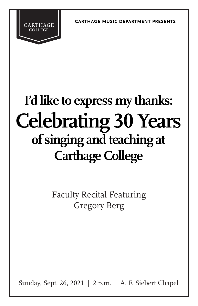**carthage music department presents**

# **I'd like to express my thanks: Celebrating 30 Years of singing and teaching at Carthage College**

**CARTHAGE** 

Faculty Recital Featuring Gregory Berg

Sunday, Sept. 26, 2021 | 2 p.m. | A. F. Siebert Chapel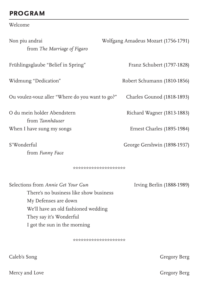## **PROGRAM**

Welcome

| Non piu andrai<br>from The Marriage of Figaro                                                                                               | Wolfgang Amadeus Mozart (1756-1791) |
|---------------------------------------------------------------------------------------------------------------------------------------------|-------------------------------------|
| Frühlingsglaube "Belief in Spring"                                                                                                          | Franz Schubert (1797-1828)          |
| Widmung "Dedication"                                                                                                                        | Robert Schumann (1810-1856)         |
| Ou voulez-vouz aller "Where do you want to go?"                                                                                             | Charles Gounod (1818-1893)          |
| O du mein holder Abendstern<br>from Tannhäuser                                                                                              | Richard Wagner (1813-1883)          |
| When I have sung my songs                                                                                                                   | Ernest Charles (1895-1984)          |
| S'Wonderful<br>from Funny Face                                                                                                              | George Gershwin (1898-1937)         |
| *********************                                                                                                                       |                                     |
| Selections from Annie Get Your Gun<br>There's no business like show business<br>My Defenses are down<br>We'll have an old fashioned wedding | Irving Berlin (1888-1989)           |

They say it's Wonderful

I got the sun in the morning

\*\*\*\*\*\*\*\*\*\*\*\*\*\*\*\*\*\*\*\*

Caleb's Song

Mercy and Love

**Gregory Berg** 

**Gregory Berg**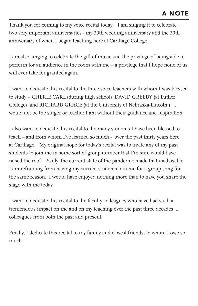Thank you for coming to my voice recital today. I am singing it to celebrate two very important anniversaries - my 30th wedding anniversary and the 30th anniversary of when I began teaching here at Carthage College.

I am also singing to celebrate the gift of music and the privilege of being able to perform for an audience in the room with me – a privilege that I hope none of us will ever take for granted again.

I want to dedicate this recital to the three voice teachers with whom I was blessed to study – CHERIE CARL (during high school), DAVID GREEDY (at Luther College), and RICHARD GRACE (at the University of Nebraska-Lincoln.) I would not be the singer or teacher I am without their guidance and inspiration.

I also want to dedicate this recital to the many students I have been blessed to teach – and from whom I've learned so much - over the past thirty years here at Carthage. My original hope for today's recital was to invite any of my past students to join me in some sort of group number that I'm sure would have raised the roof! Sadly, the current state of the pandemic made that inadvisable. I am refraining from having my current students join me for a group song for the same reason. I would have enjoyed nothing more than to have you share the stage with me today.

I want to dedicate this recital to the faculty colleagues who have had such a tremendous impact on me and on my teaching over the past three decades … colleagues from both the past and present.

Finally, I dedicate this recital to my family and closest friends, to whom I owe so much.